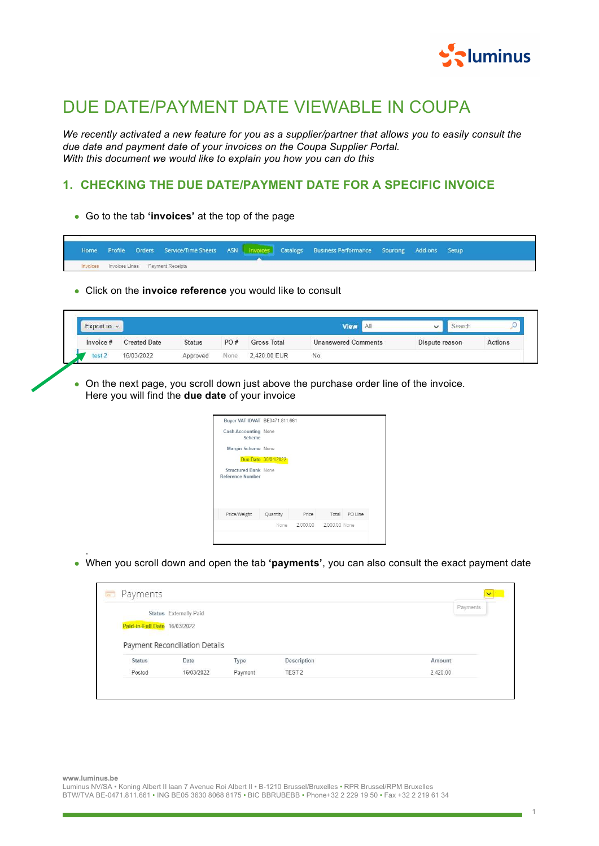

## DUE DATE/PAYMENT DATE VIEWABLE IN COUPA

We recently activated a new feature for you as a supplier/partner that allows you to easily consult the due date and payment date of your invoices on the Coupa Supplier Portal. With this document we would like to explain you how you can do this

## 1. CHECKING THE DUE DATE/PAYMENT DATE FOR A SPECIFIC INVOICE

• Go to the tab 'invoices' at the top of the page

| Home A |  |                                                 |  | Profile Orders Service/Time Sheets ASN Invoices Catalogs Business Performance Sourcing Add-ons Setup |  |  |
|--------|--|-------------------------------------------------|--|------------------------------------------------------------------------------------------------------|--|--|
|        |  | <b>Invoices</b> Invoices Lines Payment Receipts |  |                                                                                                      |  |  |

• Click on the invoice reference you would like to consult

| Export to $\sim$  |                     |               |      |                    | <b>View</b><br>AI          |                | search |         |
|-------------------|---------------------|---------------|------|--------------------|----------------------------|----------------|--------|---------|
| Invoice #         | <b>Created Date</b> | <b>Status</b> | PO#  | <b>Gross Total</b> | <b>Unanswered Comments</b> | Dispute reason |        | Actions |
| test <sub>2</sub> | 16/03/2022          | Approved      | None | 2.420.00 EUR       | No                         |                |        |         |

• On the next page, you scroll down just above the purchase order line of the invoice. Here you will find the due date of your invoice

| Buyer VAT IDVAT BE0471.811.661                         |                     |       |               |
|--------------------------------------------------------|---------------------|-------|---------------|
| Cash Accounting None<br>Scheme                         |                     |       |               |
| Margin Scheme None                                     |                     |       |               |
|                                                        | Due Date 30/04/2022 |       |               |
| <b>Structured Bank None</b><br><b>Reference Number</b> |                     |       |               |
|                                                        |                     |       |               |
| Price/Weight                                           | Quantity            | Price | Total PO Line |

• When you scroll down and open the tab 'payments', you can also consult the exact payment date

|                              | Status Externally Paid         |                 |                                  | Payments           |
|------------------------------|--------------------------------|-----------------|----------------------------------|--------------------|
|                              |                                |                 |                                  |                    |
| Paid-in-Full Date 16/03/2022 |                                |                 |                                  |                    |
|                              |                                |                 |                                  |                    |
|                              |                                |                 |                                  |                    |
|                              |                                |                 |                                  |                    |
|                              | Payment Reconciliation Details |                 |                                  |                    |
|                              |                                |                 |                                  |                    |
| <b>Status</b><br>Posted      | Date<br>16/03/2022             | Type<br>Payment | Description<br>TEST <sub>2</sub> | Amount<br>2,420.00 |

www.luminus.be

.

Luminus NV/SA • Koning Albert II laan 7 Avenue Roi Albert II • B-1210 Brussel/Bruxelles • RPR Brussel/RPM Bruxelles BTW/TVA BE-0471.811.661 • ING BE05 3630 8068 8175 • BIC BBRUBEBB • Phone+32 2 229 19 50 • Fax +32 2 219 61 34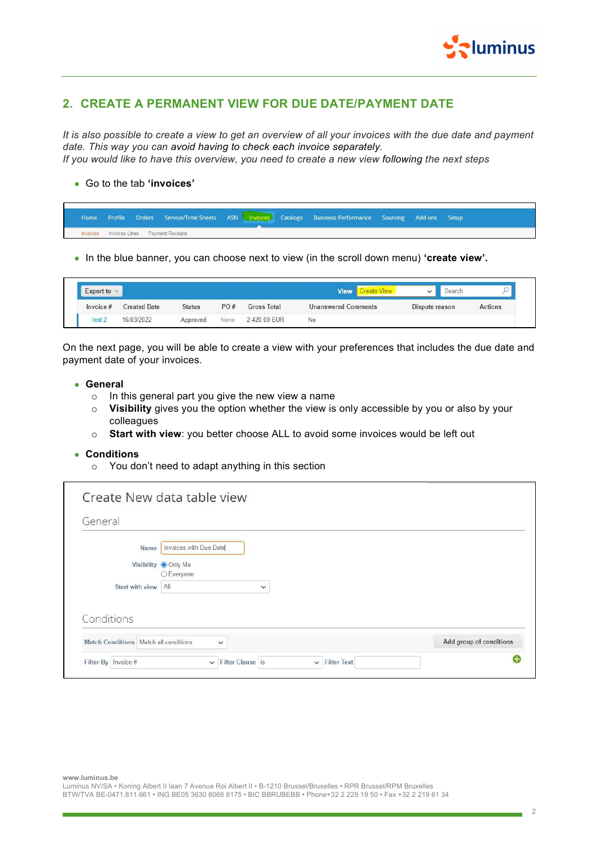

## 2. CREATE A PERMANENT VIEW FOR DUE DATE/PAYMENT DATE

It is also possible to create a view to get an overview of all your invoices with the due date and payment date. This way you can avoid having to check each invoice separately. If you would like to have this overview, you need to create a new view following the next steps

## ● Go to the tab 'invoices'

|          |  |                                 |  | Home Profile Orders Service/Time Sheets ASN Invoices Catalogs Business Performance Sourcing Add-ons Setup |  |  |
|----------|--|---------------------------------|--|-----------------------------------------------------------------------------------------------------------|--|--|
| Invoices |  | Invoices Lines Payment Receipts |  |                                                                                                           |  |  |

• In the blue banner, you can choose next to view (in the scroll down menu) 'create view'.

| Export to $\sim$ |                     |               |      |              | <b>Create View</b><br><b>View</b> |                | iearch |                |
|------------------|---------------------|---------------|------|--------------|-----------------------------------|----------------|--------|----------------|
| Invoice #        | <b>Created Date</b> | <b>Status</b> | PO#  | Gross Total  | <b>Unanswered Comments</b>        | Dispute reason |        | <b>Actions</b> |
| test 2           | 16/03/2022          | Approved      | None | 2.420.00 EUR | No                                |                |        |                |

On the next page, you will be able to create a view with your preferences that includes the due date and payment date of your invoices.

- General
	- o In this general part you give the new view a name
	- o Visibility gives you the option whether the view is only accessible by you or also by your colleagues
	- o Start with view: you better choose ALL to avoid some invoices would be left out

• Conditions

o You don't need to adapt anything in this section

| General                                 |                                                                        |                         |
|-----------------------------------------|------------------------------------------------------------------------|-------------------------|
| Name                                    | Invoices with Due Date                                                 |                         |
|                                         | Visibility Only Me<br>C Everyone                                       |                         |
| Start with view                         | All<br>$\checkmark$                                                    |                         |
| Conditions                              |                                                                        |                         |
| Match Conditions   Match all conditions | $\check{ }$                                                            | Add group of conditions |
| Filter By Invoice #                     | Filter Clause is<br><b>Filter Text</b><br>$\checkmark$<br>$\checkmark$ | G                       |

www.luminus.be

Luminus NV/SA • Koning Albert II laan 7 Avenue Roi Albert II • B-1210 Brussel/Bruxelles • RPR Brussel/RPM Bruxelles BTW/TVA BE-0471.811.661 • ING BE05 3630 8068 8175 • BIC BBRUBEBB • Phone+32 2 229 19 50 • Fax +32 2 219 61 34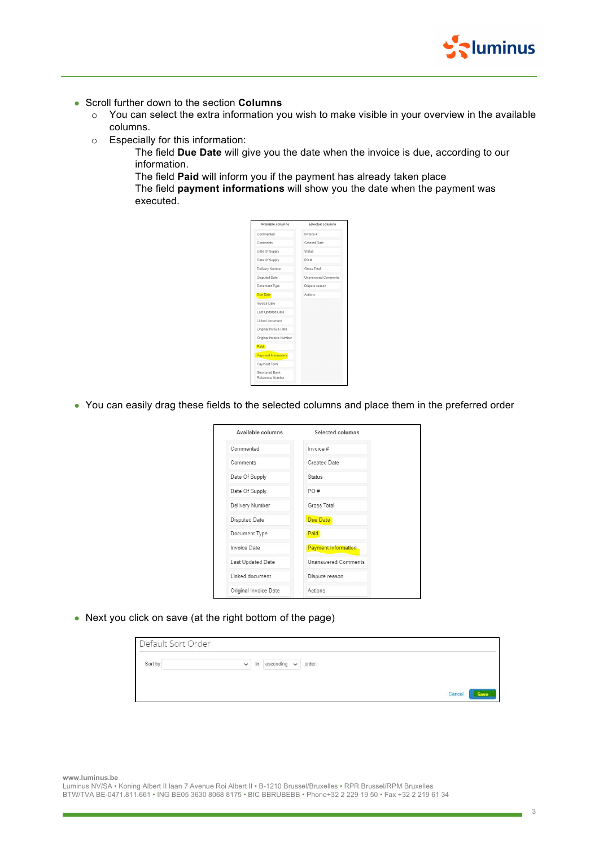

- Scroll further down to the section Columns
	- o You can select the extra information you wish to make visible in your overview in the available columns.
	- o Especially for this information:
		- The field Due Date will give you the date when the invoice is due, according to our information.
		- The field Paid will inform you if the payment has already taken place

The field payment informations will show you the date when the payment was executed.



● You can easily drag these fields to the selected columns and place them in the preferred order

| Available columns     | Selected columns           |
|-----------------------|----------------------------|
| Commented             | Invoice #                  |
| Comments              | Created Date               |
| Date Of Supply        | <b>Status</b>              |
| Date Of Supply        | PO#                        |
| Delivery Number       | Gross Total                |
| Disputed Date         | Due Date                   |
| Document Type         | Paid                       |
| Invoice Date          | <b>Payment Information</b> |
| Last Updated Date     | <b>Unanswered Comments</b> |
| Linked document       | Dispute reason             |
| Original Invoice Date | Actions                    |

• Next you click on save (at the right bottom of the page)

| Default Sort Order |             |                            |        |
|--------------------|-------------|----------------------------|--------|
| Sort by            | $\check{~}$ | in ascending $\sim$ order. |        |
|                    |             |                            | Cancel |

www.luminus.be

Luminus NV/SA • Koning Albert II laan 7 Avenue Roi Albert II • B-1210 Brussel/Bruxelles • RPR Brussel/RPM Bruxelles BTW/TVA BE-0471.811.661 • ING BE05 3630 8068 8175 • BIC BBRUBEBB • Phone+32 2 229 19 50 • Fax +32 2 219 61 34